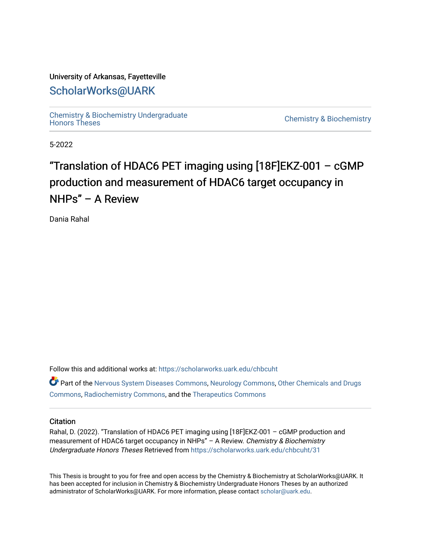#### University of Arkansas, Fayetteville

## [ScholarWorks@UARK](https://scholarworks.uark.edu/)

[Chemistry & Biochemistry Undergraduate](https://scholarworks.uark.edu/chbcuht) 

Chemistry & Biochemistry

5-2022

## "Translation of HDAC6 PET imaging using  $[18F]E$ KZ-001 – cGMP production and measurement of HDAC6 target occupancy in NHPs" – A Review

Dania Rahal

Follow this and additional works at: [https://scholarworks.uark.edu/chbcuht](https://scholarworks.uark.edu/chbcuht?utm_source=scholarworks.uark.edu%2Fchbcuht%2F31&utm_medium=PDF&utm_campaign=PDFCoverPages)

Part of the [Nervous System Diseases Commons](http://network.bepress.com/hgg/discipline/928?utm_source=scholarworks.uark.edu%2Fchbcuht%2F31&utm_medium=PDF&utm_campaign=PDFCoverPages), [Neurology Commons,](http://network.bepress.com/hgg/discipline/692?utm_source=scholarworks.uark.edu%2Fchbcuht%2F31&utm_medium=PDF&utm_campaign=PDFCoverPages) [Other Chemicals and Drugs](http://network.bepress.com/hgg/discipline/951?utm_source=scholarworks.uark.edu%2Fchbcuht%2F31&utm_medium=PDF&utm_campaign=PDFCoverPages)  [Commons](http://network.bepress.com/hgg/discipline/951?utm_source=scholarworks.uark.edu%2Fchbcuht%2F31&utm_medium=PDF&utm_campaign=PDFCoverPages), [Radiochemistry Commons](http://network.bepress.com/hgg/discipline/1196?utm_source=scholarworks.uark.edu%2Fchbcuht%2F31&utm_medium=PDF&utm_campaign=PDFCoverPages), and the [Therapeutics Commons](http://network.bepress.com/hgg/discipline/993?utm_source=scholarworks.uark.edu%2Fchbcuht%2F31&utm_medium=PDF&utm_campaign=PDFCoverPages) 

#### **Citation**

Rahal, D. (2022). "Translation of HDAC6 PET imaging using [18F]EKZ-001 – cGMP production and measurement of HDAC6 target occupancy in NHPs" – A Review. Chemistry & Biochemistry Undergraduate Honors Theses Retrieved from [https://scholarworks.uark.edu/chbcuht/31](https://scholarworks.uark.edu/chbcuht/31?utm_source=scholarworks.uark.edu%2Fchbcuht%2F31&utm_medium=PDF&utm_campaign=PDFCoverPages)

This Thesis is brought to you for free and open access by the Chemistry & Biochemistry at ScholarWorks@UARK. It has been accepted for inclusion in Chemistry & Biochemistry Undergraduate Honors Theses by an authorized administrator of ScholarWorks@UARK. For more information, please contact [scholar@uark.edu](mailto:scholar@uark.edu).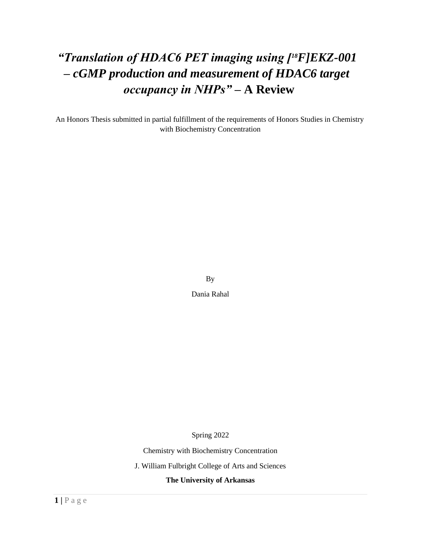# *"Translation of HDAC6 PET imaging using [18F]EKZ-001 – cGMP production and measurement of HDAC6 target occupancy in NHPs"* **– A Review**

An Honors Thesis submitted in partial fulfillment of the requirements of Honors Studies in Chemistry with Biochemistry Concentration

By

Dania Rahal

Spring 2022

Chemistry with Biochemistry Concentration

J. William Fulbright College of Arts and Sciences

**The University of Arkansas**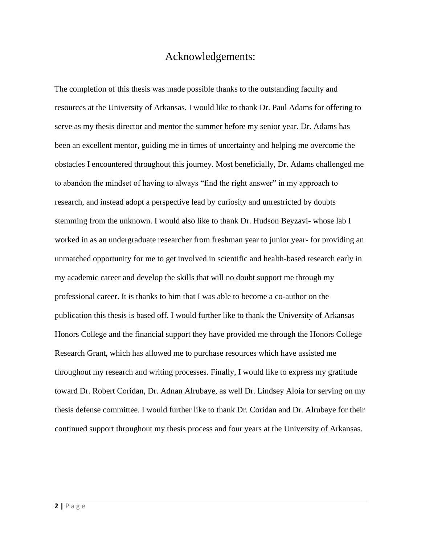### Acknowledgements:

The completion of this thesis was made possible thanks to the outstanding faculty and resources at the University of Arkansas. I would like to thank Dr. Paul Adams for offering to serve as my thesis director and mentor the summer before my senior year. Dr. Adams has been an excellent mentor, guiding me in times of uncertainty and helping me overcome the obstacles I encountered throughout this journey. Most beneficially, Dr. Adams challenged me to abandon the mindset of having to always "find the right answer" in my approach to research, and instead adopt a perspective lead by curiosity and unrestricted by doubts stemming from the unknown. I would also like to thank Dr. Hudson Beyzavi- whose lab I worked in as an undergraduate researcher from freshman year to junior year- for providing an unmatched opportunity for me to get involved in scientific and health-based research early in my academic career and develop the skills that will no doubt support me through my professional career. It is thanks to him that I was able to become a co-author on the publication this thesis is based off. I would further like to thank the University of Arkansas Honors College and the financial support they have provided me through the Honors College Research Grant, which has allowed me to purchase resources which have assisted me throughout my research and writing processes. Finally, I would like to express my gratitude toward Dr. Robert Coridan, Dr. Adnan Alrubaye, as well Dr. Lindsey Aloia for serving on my thesis defense committee. I would further like to thank Dr. Coridan and Dr. Alrubaye for their continued support throughout my thesis process and four years at the University of Arkansas.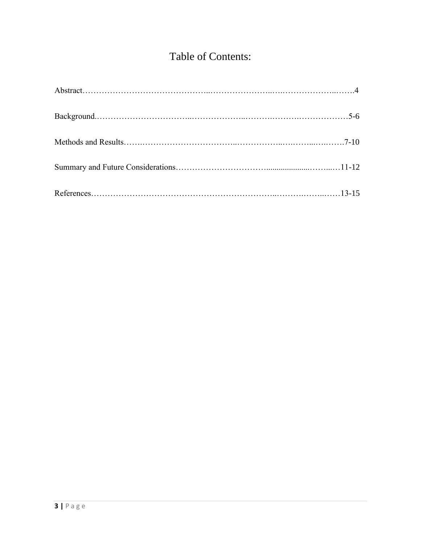## Table of Contents: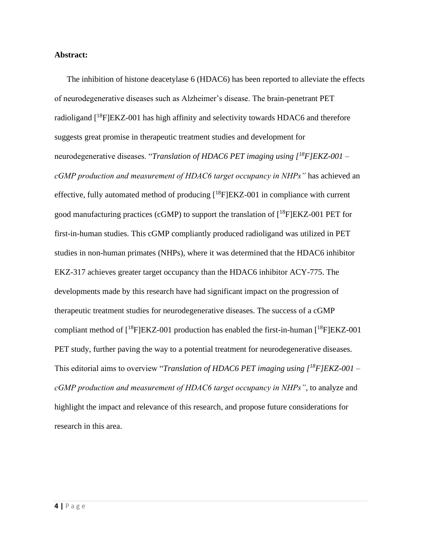#### **Abstract:**

The inhibition of histone deacetylase 6 (HDAC6) has been reported to alleviate the effects of neurodegenerative diseases such as Alzheimer's disease. The brain-penetrant PET radioligand  $[18F]EKZ-001$  has high affinity and selectivity towards HDAC6 and therefore suggests great promise in therapeutic treatment studies and development for neurodegenerative diseases. "*Translation of HDAC6 PET imaging using [<sup>18</sup>F]EKZ-001 – cGMP production and measurement of HDAC6 target occupancy in NHPs"* has achieved an effective, fully automated method of producing  $[18F]EKZ-001$  in compliance with current good manufacturing practices (cGMP) to support the translation of  $[18F]EKZ-001$  PET for first-in-human studies. This cGMP compliantly produced radioligand was utilized in PET studies in non-human primates (NHPs), where it was determined that the HDAC6 inhibitor EKZ-317 achieves greater target occupancy than the HDAC6 inhibitor ACY-775. The developments made by this research have had significant impact on the progression of therapeutic treatment studies for neurodegenerative diseases. The success of a cGMP compliant method of  $[18F]EKZ-001$  production has enabled the first-in-human  $[18F]EKZ-001$ PET study, further paving the way to a potential treatment for neurodegenerative diseases. This editorial aims to overview "*Translation of HDAC6 PET imaging using [<sup>18</sup>F]EKZ-001 – cGMP production and measurement of HDAC6 target occupancy in NHPs"*, to analyze and highlight the impact and relevance of this research, and propose future considerations for research in this area.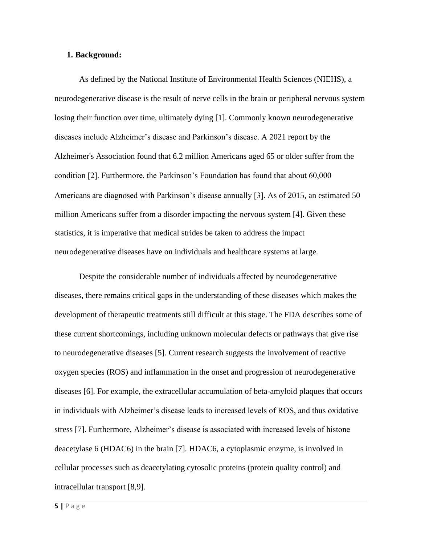#### **1. Background:**

As defined by the National Institute of Environmental Health Sciences (NIEHS), a neurodegenerative disease is the result of nerve cells in the brain or peripheral nervous system losing their function over time, ultimately dying [1]. Commonly known neurodegenerative diseases include Alzheimer's disease and Parkinson's disease. A 2021 report by the Alzheimer's Association found that 6.2 million Americans aged 65 or older suffer from the condition [2]. Furthermore, the Parkinson's Foundation has found that about 60,000 Americans are diagnosed with Parkinson's disease annually [3]. As of 2015, an estimated 50 million Americans suffer from a disorder impacting the nervous system [4]. Given these statistics, it is imperative that medical strides be taken to address the impact neurodegenerative diseases have on individuals and healthcare systems at large.

Despite the considerable number of individuals affected by neurodegenerative diseases, there remains critical gaps in the understanding of these diseases which makes the development of therapeutic treatments still difficult at this stage. The FDA describes some of these current shortcomings, including unknown molecular defects or pathways that give rise to neurodegenerative diseases [5]. Current research suggests the involvement of reactive oxygen species (ROS) and inflammation in the onset and progression of neurodegenerative diseases [6]. For example, the extracellular accumulation of beta-amyloid plaques that occurs in individuals with Alzheimer's disease leads to increased levels of ROS, and thus oxidative stress [7]. Furthermore, Alzheimer's disease is associated with increased levels of histone deacetylase 6 (HDAC6) in the brain [7]. HDAC6, a cytoplasmic enzyme, is involved in cellular processes such as deacetylating cytosolic proteins (protein quality control) and intracellular transport [8,9].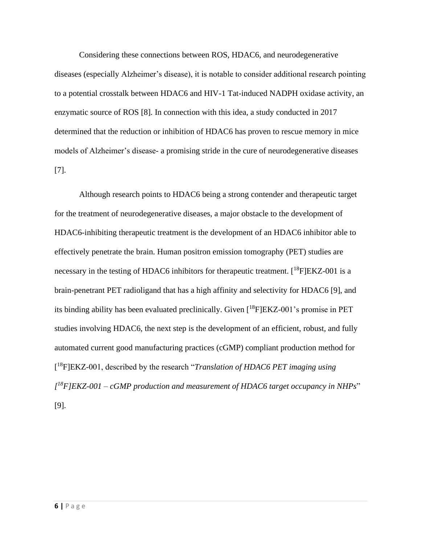Considering these connections between ROS, HDAC6, and neurodegenerative diseases (especially Alzheimer's disease), it is notable to consider additional research pointing to a potential crosstalk between HDAC6 and HIV-1 Tat-induced NADPH oxidase activity, an enzymatic source of ROS [8]. In connection with this idea, a study conducted in 2017 determined that the reduction or inhibition of HDAC6 has proven to rescue memory in mice models of Alzheimer's disease- a promising stride in the cure of neurodegenerative diseases [7].

Although research points to HDAC6 being a strong contender and therapeutic target for the treatment of neurodegenerative diseases, a major obstacle to the development of HDAC6-inhibiting therapeutic treatment is the development of an HDAC6 inhibitor able to effectively penetrate the brain. Human positron emission tomography (PET) studies are necessary in the testing of HDAC6 inhibitors for therapeutic treatment.  $[{}^{18}F]EKZ-001$  is a brain-penetrant PET radioligand that has a high affinity and selectivity for HDAC6 [9], and its binding ability has been evaluated preclinically. Given  $[{}^{18}F]EKZ-001$ 's promise in PET studies involving HDAC6, the next step is the development of an efficient, robust, and fully automated current good manufacturing practices (cGMP) compliant production method for [ <sup>18</sup>F]EKZ-001, described by the research "*Translation of HDAC6 PET imaging using [ <sup>18</sup>F]EKZ-001 – cGMP production and measurement of HDAC6 target occupancy in NHPs*" [9].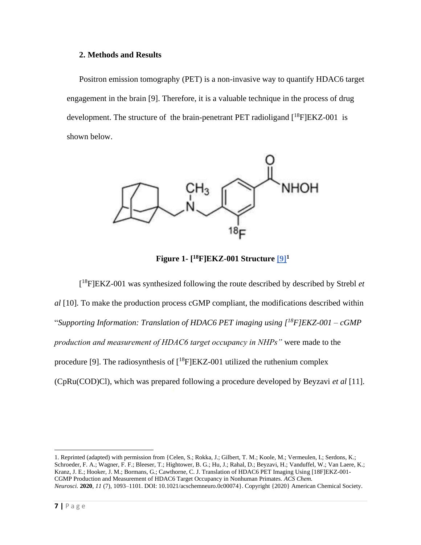#### **2. Methods and Results**

Positron emission tomography (PET) is a non-invasive way to quantify HDAC6 target engagement in the brain [9]. Therefore, it is a valuable technique in the process of drug development. The structure of the brain-penetrant PET radioligand  $[{}^{18}F]EKZ-001$  is shown below.



**Figure 1- [ <sup>18</sup>F]EKZ-001 Structure [\[9\]](https://pubs.acs.org/doi/10.1021/acschemneuro.0c00074)<sup>1</sup>**

[ <sup>18</sup>F]EKZ-001 was synthesized following the route described by described by Strebl *et al* [10]. To make the production process cGMP compliant, the modifications described within "*Supporting Information: Translation of HDAC6 PET imaging using [<sup>18</sup>F]EKZ-001 – cGMP production and measurement of HDAC6 target occupancy in NHPs"* were made to the procedure [9]. The radiosynthesis of  $[18F]EKZ-001$  utilized the ruthenium complex (CpRu(COD)Cl), which was prepared following a procedure developed by Beyzavi *et al* [11].

<sup>1.</sup> Reprinted (adapted) with permission from {Celen, S.; Rokka, J.; Gilbert, T. M.; Koole, M.; Vermeulen, I.; Serdons, K.; Schroeder, F. A.; Wagner, F. F.; Bleeser, T.; Hightower, B. G.; Hu, J.; Rahal, D.; Beyzavi, H.; Vanduffel, W.; Van Laere, K.; Kranz, J. E.; Hooker, J. M.; Bormans, G.; Cawthorne, C. J. Translation of HDAC6 PET Imaging Using [18F]EKZ-001- CGMP Production and Measurement of HDAC6 Target Occupancy in Nonhuman Primates. *ACS Chem. Neurosci.* **2020**, *11* (7), 1093–1101. DOI: 10.1021/acschemneuro.0c00074}. Copyright {2020} American Chemical Society.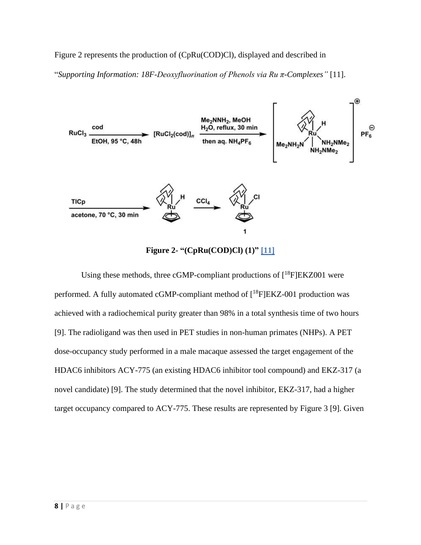### Figure 2 represents the production of (CpRu(COD)Cl), displayed and described in

"*Supporting Information: 18F-Deoxyfluorination of Phenols via Ru π-Complexes"* [11].



**Figure 2- "(CpRu(COD)Cl) (1)" [\[11\]](https://pubs.acs.org/doi/10.1021/acscentsci.7b00195)** 

Using these methods, three cGMP-compliant productions of  $[18F]EKZ001$  were performed. A fully automated cGMP-compliant method of  $[{}^{18}F]EKZ-001$  production was achieved with a radiochemical purity greater than 98% in a total synthesis time of two hours [9]. The radioligand was then used in PET studies in non-human primates (NHPs). A PET dose-occupancy study performed in a male macaque assessed the target engagement of the HDAC6 inhibitors ACY-775 (an existing HDAC6 inhibitor tool compound) and EKZ-317 (a novel candidate) [9]. The study determined that the novel inhibitor, EKZ-317, had a higher target occupancy compared to ACY-775. These results are represented by Figure 3 [9]. Given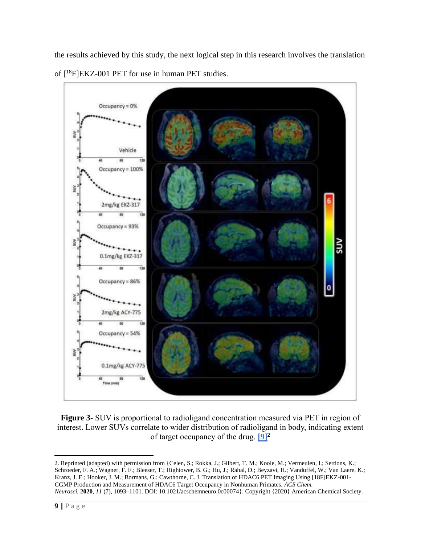

the results achieved by this study, the next logical step in this research involves the translation of [<sup>18</sup>F]EKZ-001 PET for use in human PET studies.

**Figure 3-** SUV is proportional to radioligand concentration measured via PET in region of interest. Lower SUVs correlate to wider distribution of radioligand in body, indicating extent of target occupancy of the drug. **[\[9\]](https://pubs.acs.org/doi/10.1021/acschemneuro.0c00074)<sup>2</sup>**

<sup>2.</sup> Reprinted (adapted) with permission from {Celen, S.; Rokka, J.; Gilbert, T. M.; Koole, M.; Vermeulen, I.; Serdons, K.; Schroeder, F. A.; Wagner, F. F.; Bleeser, T.; Hightower, B. G.; Hu, J.; Rahal, D.; Beyzavi, H.; Vanduffel, W.; Van Laere, K.; Kranz, J. E.; Hooker, J. M.; Bormans, G.; Cawthorne, C. J. Translation of HDAC6 PET Imaging Using [18F]EKZ-001- CGMP Production and Measurement of HDAC6 Target Occupancy in Nonhuman Primates. *ACS Chem. Neurosci.* **2020**, *11* (7), 1093–1101. DOI: 10.1021/acschemneuro.0c00074}. Copyright {2020} American Chemical Society.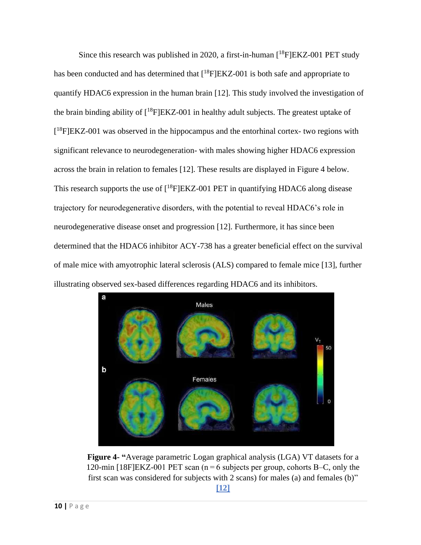Since this research was published in 2020, a first-in-human  $[18F]EKZ-001$  PET study has been conducted and has determined that  $[{}^{18}F]EKZ-001$  is both safe and appropriate to quantify HDAC6 expression in the human brain [12]. This study involved the investigation of the brain binding ability of  $[18F]EKZ-001$  in healthy adult subjects. The greatest uptake of [<sup>18</sup>F]EKZ-001 was observed in the hippocampus and the entorhinal cortex- two regions with significant relevance to neurodegeneration- with males showing higher HDAC6 expression across the brain in relation to females [12]. These results are displayed in Figure 4 below. This research supports the use of  $[{}^{18}F]EKZ-001$  PET in quantifying HDAC6 along disease trajectory for neurodegenerative disorders, with the potential to reveal HDAC6's role in neurodegenerative disease onset and progression [12]. Furthermore, it has since been determined that the HDAC6 inhibitor ACY-738 has a greater beneficial effect on the survival of male mice with amyotrophic lateral sclerosis (ALS) compared to female mice [13], further illustrating observed sex-based differences regarding HDAC6 and its inhibitors.



**Figure 4- "**Average parametric Logan graphical analysis (LGA) VT datasets for a 120-min [18F]EKZ-001 PET scan (n = 6 subjects per group, cohorts B–C, only the first scan was considered for subjects with 2 scans) for males (a) and females (b)"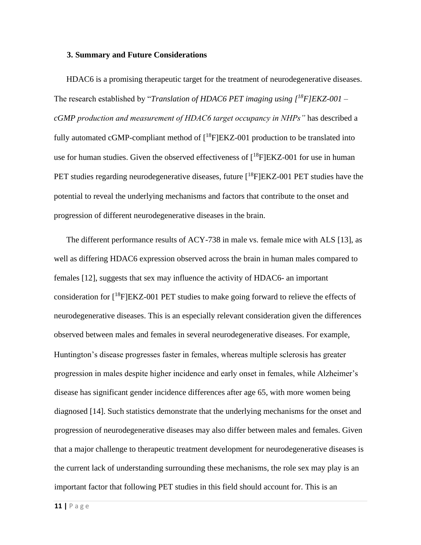#### **3. Summary and Future Considerations**

HDAC6 is a promising therapeutic target for the treatment of neurodegenerative diseases. The research established by "*Translation of HDAC6 PET imaging using [<sup>18</sup>F]EKZ-001 – cGMP production and measurement of HDAC6 target occupancy in NHPs"* has described a fully automated cGMP-compliant method of  $[{}^{18}F]EKZ-001$  production to be translated into use for human studies. Given the observed effectiveness of  $[{}^{18}F]EKZ-001$  for use in human PET studies regarding neurodegenerative diseases, future  $[{}^{18}$ F $]EKZ-001$  PET studies have the potential to reveal the underlying mechanisms and factors that contribute to the onset and progression of different neurodegenerative diseases in the brain.

The different performance results of ACY-738 in male vs. female mice with ALS [13], as well as differing HDAC6 expression observed across the brain in human males compared to females [12], suggests that sex may influence the activity of HDAC6- an important consideration for  $[18F]EKZ-001$  PET studies to make going forward to relieve the effects of neurodegenerative diseases. This is an especially relevant consideration given the differences observed between males and females in several neurodegenerative diseases. For example, Huntington's disease progresses faster in females, whereas multiple sclerosis has greater progression in males despite higher incidence and early onset in females, while Alzheimer's disease has significant gender incidence differences after age 65, with more women being diagnosed [14]. Such statistics demonstrate that the underlying mechanisms for the onset and progression of neurodegenerative diseases may also differ between males and females. Given that a major challenge to therapeutic treatment development for neurodegenerative diseases is the current lack of understanding surrounding these mechanisms, the role sex may play is an important factor that following PET studies in this field should account for. This is an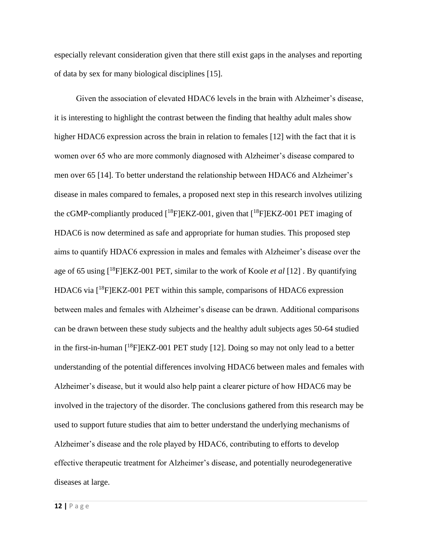especially relevant consideration given that there still exist gaps in the analyses and reporting of data by sex for many biological disciplines [15].

Given the association of elevated HDAC6 levels in the brain with Alzheimer's disease, it is interesting to highlight the contrast between the finding that healthy adult males show higher HDAC6 expression across the brain in relation to females [12] with the fact that it is women over 65 who are more commonly diagnosed with Alzheimer's disease compared to men over 65 [14]. To better understand the relationship between HDAC6 and Alzheimer's disease in males compared to females, a proposed next step in this research involves utilizing the cGMP-compliantly produced  $[{}^{18}F]EKZ-001$ , given that  $[{}^{18}F]EKZ-001$  PET imaging of HDAC6 is now determined as safe and appropriate for human studies. This proposed step aims to quantify HDAC6 expression in males and females with Alzheimer's disease over the age of 65 using [<sup>18</sup>F]EKZ-001 PET, similar to the work of Koole *et al* [12] . By quantifying HDAC6 via [<sup>18</sup>F]EKZ-001 PET within this sample, comparisons of HDAC6 expression between males and females with Alzheimer's disease can be drawn. Additional comparisons can be drawn between these study subjects and the healthy adult subjects ages 50-64 studied in the first-in-human  $[{}^{18}F]EKZ-001$  PET study [12]. Doing so may not only lead to a better understanding of the potential differences involving HDAC6 between males and females with Alzheimer's disease, but it would also help paint a clearer picture of how HDAC6 may be involved in the trajectory of the disorder. The conclusions gathered from this research may be used to support future studies that aim to better understand the underlying mechanisms of Alzheimer's disease and the role played by HDAC6, contributing to efforts to develop effective therapeutic treatment for Alzheimer's disease, and potentially neurodegenerative diseases at large.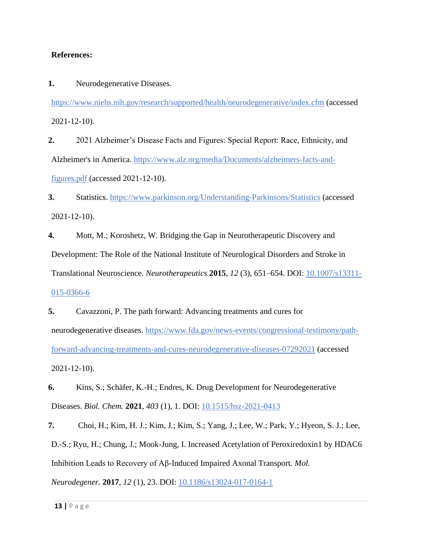#### **References:**

**1.** Neurodegenerative Diseases.

<https://www.niehs.nih.gov/research/supported/health/neurodegenerative/index.cfm> (accessed 2021-12-10).

**2.** 2021 Alzheimer's Disease Facts and Figures: Special Report: Race, Ethnicity, and Alzheimer's in America. [https://www.alz.org/media/Documents/alzheimers-facts-and](https://www.alz.org/media/Documents/alzheimers-facts-and-figures.pdf)[figures.pdf](https://www.alz.org/media/Documents/alzheimers-facts-and-figures.pdf) (accessed 2021-12-10).

**3.** Statistics.<https://www.parkinson.org/Understanding-Parkinsons/Statistics> (accessed 2021-12-10).

**4.** Mott, M.; Koroshetz, W. Bridging the Gap in Neurotherapeutic Discovery and Development: The Role of the National Institute of Neurological Disorders and Stroke in Translational Neuroscience. *Neurotherapeutics* **2015**, *12* (3), 651–654. DOI: [10.1007/s13311-](https://link.springer.com/article/10.1007/s13311-015-0366-6)

[015-0366-6](https://link.springer.com/article/10.1007/s13311-015-0366-6)

**5.** Cavazzoni, P. The path forward: Advancing treatments and cures for neurodegenerative diseases. [https://www.fda.gov/news-events/congressional-testimony/path](https://www.fda.gov/news-events/congressional-testimony/path-forward-advancing-treatments-and-cures-neurodegenerative-diseases-07292021)[forward-advancing-treatments-and-cures-neurodegenerative-diseases-07292021](https://www.fda.gov/news-events/congressional-testimony/path-forward-advancing-treatments-and-cures-neurodegenerative-diseases-07292021) (accessed 2021-12-10).

**6.** Kins, S.; Schäfer, K.-H.; Endres, K. Drug Development for Neurodegenerative Diseases. *Biol. Chem.* **2021**, *403* (1), 1. DOI: [10.1515/hsz-2021-0413](https://www.degruyter.com/document/doi/10.1515/hsz-2021-0413/html)

**7.** Choi, H.; Kim, H. J.; Kim, J.; Kim, S.; Yang, J.; Lee, W.; Park, Y.; Hyeon, S. J.; Lee, D.-S.; Ryu, H.; Chung, J.; Mook-Jung, I. Increased Acetylation of Peroxiredoxin1 by HDAC6 Inhibition Leads to Recovery of Aβ-Induced Impaired Axonal Transport. *Mol. Neurodegener.* **2017**, *12* (1), 23. DOI: [10.1186/s13024-017-0164-1](https://molecularneurodegeneration.biomedcentral.com/articles/10.1186/s13024-017-0164-1)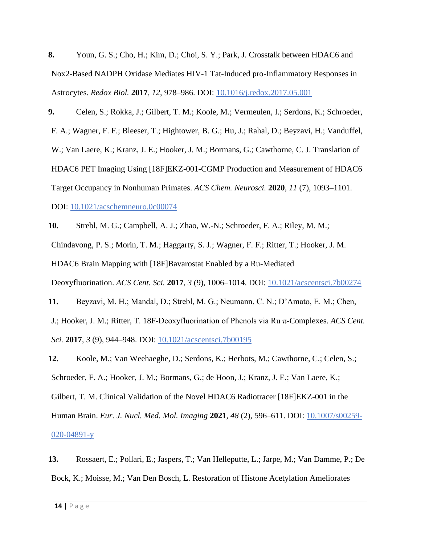**8.** Youn, G. S.; Cho, H.; Kim, D.; Choi, S. Y.; Park, J. Crosstalk between HDAC6 and Nox2-Based NADPH Oxidase Mediates HIV-1 Tat-Induced pro-Inflammatory Responses in Astrocytes. *Redox Biol.* **2017**, *12*, 978–986. DOI: [10.1016/j.redox.2017.05.001](https://www.sciencedirect.com/science/article/pii/S2213231717302975?via%3Dihub)

**9.** Celen, S.; Rokka, J.; Gilbert, T. M.; Koole, M.; Vermeulen, I.; Serdons, K.; Schroeder, F. A.; Wagner, F. F.; Bleeser, T.; Hightower, B. G.; Hu, J.; Rahal, D.; Beyzavi, H.; Vanduffel, W.; Van Laere, K.; Kranz, J. E.; Hooker, J. M.; Bormans, G.; Cawthorne, C. J. Translation of HDAC6 PET Imaging Using [18F]EKZ-001-CGMP Production and Measurement of HDAC6 Target Occupancy in Nonhuman Primates. *ACS Chem. Neurosci.* **2020**, *11* (7), 1093–1101. DOI: [10.1021/acschemneuro.0c00074](https://pubs.acs.org/doi/10.1021/acschemneuro.0c00074)

**10.** Strebl, M. G.; Campbell, A. J.; Zhao, W.-N.; Schroeder, F. A.; Riley, M. M.; Chindavong, P. S.; Morin, T. M.; Haggarty, S. J.; Wagner, F. F.; Ritter, T.; Hooker, J. M. HDAC6 Brain Mapping with [18F]Bavarostat Enabled by a Ru-Mediated Deoxyfluorination. *ACS Cent. Sci.* **2017**, *3* (9), 1006–1014. DOI: [10.1021/acscentsci.7b00274](https://pubs.acs.org/doi/10.1021/acscentsci.7b00274) **11.** Beyzavi, M. H.; Mandal, D.; Strebl, M. G.; Neumann, C. N.; D'Amato, E. M.; Chen,

J.; Hooker, J. M.; Ritter, T. 18F-Deoxyfluorination of Phenols via Ru π-Complexes. *ACS Cent. Sci.* **2017**, *3* (9), 944–948. DOI: [10.1021/acscentsci.7b00195](https://pubs.acs.org/doi/10.1021/acscentsci.7b00195)

**12.** Koole, M.; Van Weehaeghe, D.; Serdons, K.; Herbots, M.; Cawthorne, C.; Celen, S.; Schroeder, F. A.; Hooker, J. M.; Bormans, G.; de Hoon, J.; Kranz, J. E.; Van Laere, K.; Gilbert, T. M. Clinical Validation of the Novel HDAC6 Radiotracer [18F]EKZ-001 in the Human Brain. *Eur. J. Nucl. Med. Mol. Imaging* **2021**, *48* (2), 596–611. DOI: [10.1007/s00259-](https://pubmed.ncbi.nlm.nih.gov/32638097/) [020-04891-y](https://pubmed.ncbi.nlm.nih.gov/32638097/)

**13.** Rossaert, E.; Pollari, E.; Jaspers, T.; Van Helleputte, L.; Jarpe, M.; Van Damme, P.; De Bock, K.; Moisse, M.; Van Den Bosch, L. Restoration of Histone Acetylation Ameliorates